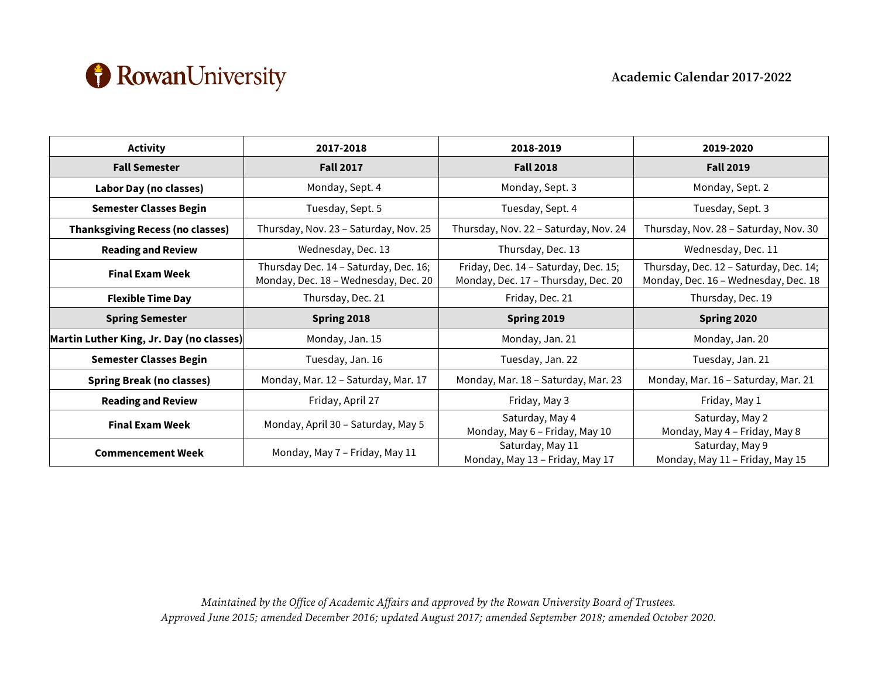

| <b>Activity</b>                          | 2017-2018                                                                     | 2018-2019                                                                   | 2019-2020                                                                      |
|------------------------------------------|-------------------------------------------------------------------------------|-----------------------------------------------------------------------------|--------------------------------------------------------------------------------|
| <b>Fall Semester</b>                     | <b>Fall 2017</b>                                                              | <b>Fall 2018</b>                                                            | <b>Fall 2019</b>                                                               |
| Labor Day (no classes)                   | Monday, Sept. 4                                                               | Monday, Sept. 3                                                             | Monday, Sept. 2                                                                |
| <b>Semester Classes Begin</b>            | Tuesday, Sept. 5                                                              | Tuesday, Sept. 4                                                            | Tuesday, Sept. 3                                                               |
| <b>Thanksgiving Recess (no classes)</b>  | Thursday, Nov. 23 - Saturday, Nov. 25                                         | Thursday, Nov. 22 - Saturday, Nov. 24                                       | Thursday, Nov. 28 - Saturday, Nov. 30                                          |
| <b>Reading and Review</b>                | Wednesday, Dec. 13                                                            | Thursday, Dec. 13                                                           | Wednesday, Dec. 11                                                             |
| <b>Final Exam Week</b>                   | Thursday Dec. 14 - Saturday, Dec. 16;<br>Monday, Dec. 18 - Wednesday, Dec. 20 | Friday, Dec. 14 - Saturday, Dec. 15;<br>Monday, Dec. 17 - Thursday, Dec. 20 | Thursday, Dec. 12 - Saturday, Dec. 14;<br>Monday, Dec. 16 - Wednesday, Dec. 18 |
| <b>Flexible Time Day</b>                 | Thursday, Dec. 21                                                             | Friday, Dec. 21                                                             | Thursday, Dec. 19                                                              |
| <b>Spring Semester</b>                   | Spring 2018                                                                   | Spring 2019                                                                 | Spring 2020                                                                    |
| Martin Luther King, Jr. Day (no classes) | Monday, Jan. 15                                                               | Monday, Jan. 21                                                             | Monday, Jan. 20                                                                |
| <b>Semester Classes Begin</b>            | Tuesday, Jan. 16                                                              | Tuesday, Jan. 22                                                            | Tuesday, Jan. 21                                                               |
| <b>Spring Break (no classes)</b>         | Monday, Mar. 12 - Saturday, Mar. 17                                           | Monday, Mar. 18 - Saturday, Mar. 23                                         | Monday, Mar. 16 - Saturday, Mar. 21                                            |
| <b>Reading and Review</b>                | Friday, April 27                                                              | Friday, May 3                                                               | Friday, May 1                                                                  |
| <b>Final Exam Week</b>                   | Monday, April 30 - Saturday, May 5                                            | Saturday, May 4<br>Monday, May 6 - Friday, May 10                           | Saturday, May 2<br>Monday, May 4 - Friday, May 8                               |
| <b>Commencement Week</b>                 | Monday, May 7 - Friday, May 11                                                | Saturday, May 11<br>Monday, May 13 - Friday, May 17                         | Saturday, May 9<br>Monday, May 11 - Friday, May 15                             |